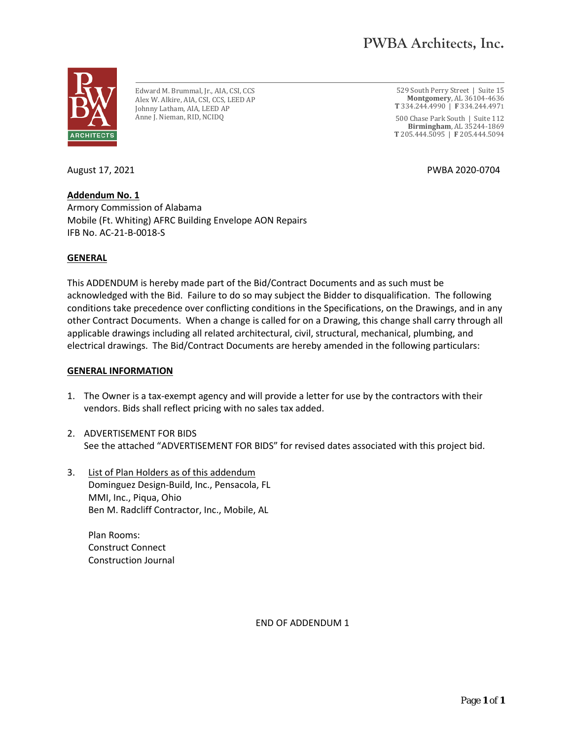

Edward M. Brummal, Jr., AIA, CSI, CCS Alex W. Alkire, AIA, CSI, CCS, LEED AP Johnny Latham, AIA, LEED AP Anne J. Nieman, RID, NCIDQ

529 South Perry Street | Suite 15 **Montgomery**, AL 36104-4636 **T** 334.244.4990 | **F** 334.244.4971

500 Chase Park South | Suite 112 **Birmingham**, AL 35244-1869 **T** 205.444.5095 | **F** 205.444.5094

August 17, 2021 PWBA 2020-0704

**Addendum No. 1** Armory Commission of Alabama Mobile (Ft. Whiting) AFRC Building Envelope AON Repairs IFB No. AC-21-B-0018-S

## **GENERAL**

This ADDENDUM is hereby made part of the Bid/Contract Documents and as such must be acknowledged with the Bid. Failure to do so may subject the Bidder to disqualification. The following conditions take precedence over conflicting conditions in the Specifications, on the Drawings, and in any other Contract Documents. When a change is called for on a Drawing, this change shall carry through all applicable drawings including all related architectural, civil, structural, mechanical, plumbing, and electrical drawings. The Bid/Contract Documents are hereby amended in the following particulars:

## **GENERAL INFORMATION**

- 1. The Owner is a tax-exempt agency and will provide a letter for use by the contractors with their vendors. Bids shall reflect pricing with no sales tax added.
- 2. ADVERTISEMENT FOR BIDS See the attached "ADVERTISEMENT FOR BIDS" for revised dates associated with this project bid.
- 3. List of Plan Holders as of this addendum Dominguez Design-Build, Inc., Pensacola, FL MMI, Inc., Piqua, Ohio Ben M. Radcliff Contractor, Inc., Mobile, AL

Plan Rooms: Construct Connect Construction Journal

END OF ADDENDUM 1